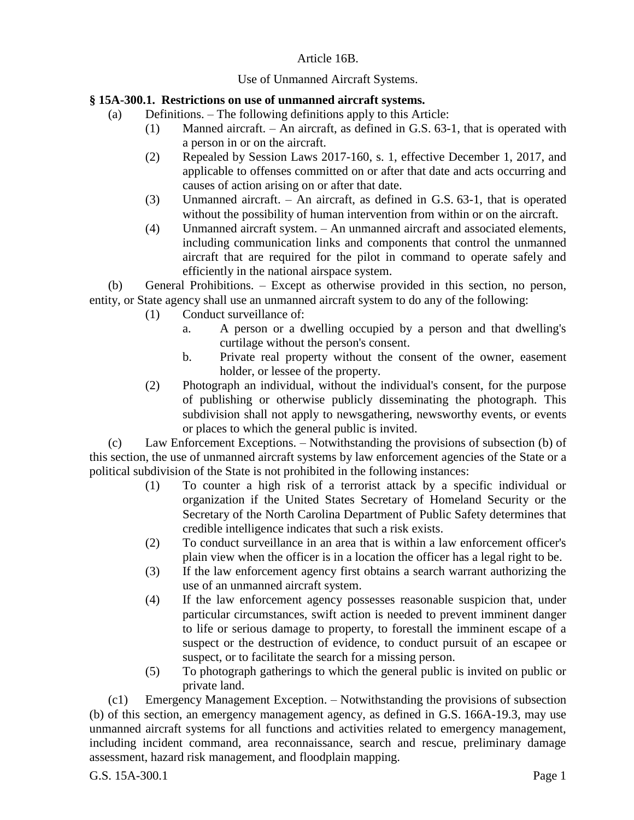## Article 16B.

## Use of Unmanned Aircraft Systems.

## **§ 15A-300.1. Restrictions on use of unmanned aircraft systems.**

- (a) Definitions. The following definitions apply to this Article:
	- (1) Manned aircraft. An aircraft, as defined in G.S. 63-1, that is operated with a person in or on the aircraft.
	- (2) Repealed by Session Laws 2017-160, s. 1, effective December 1, 2017, and applicable to offenses committed on or after that date and acts occurring and causes of action arising on or after that date.
	- (3) Unmanned aircraft. An aircraft, as defined in G.S. 63-1, that is operated without the possibility of human intervention from within or on the aircraft.
	- (4) Unmanned aircraft system. An unmanned aircraft and associated elements, including communication links and components that control the unmanned aircraft that are required for the pilot in command to operate safely and efficiently in the national airspace system.

(b) General Prohibitions. – Except as otherwise provided in this section, no person, entity, or State agency shall use an unmanned aircraft system to do any of the following:

- (1) Conduct surveillance of:
	- a. A person or a dwelling occupied by a person and that dwelling's curtilage without the person's consent.
	- b. Private real property without the consent of the owner, easement holder, or lessee of the property.
- (2) Photograph an individual, without the individual's consent, for the purpose of publishing or otherwise publicly disseminating the photograph. This subdivision shall not apply to newsgathering, newsworthy events, or events or places to which the general public is invited.

(c) Law Enforcement Exceptions. – Notwithstanding the provisions of subsection (b) of this section, the use of unmanned aircraft systems by law enforcement agencies of the State or a political subdivision of the State is not prohibited in the following instances:

- (1) To counter a high risk of a terrorist attack by a specific individual or organization if the United States Secretary of Homeland Security or the Secretary of the North Carolina Department of Public Safety determines that credible intelligence indicates that such a risk exists.
- (2) To conduct surveillance in an area that is within a law enforcement officer's plain view when the officer is in a location the officer has a legal right to be.
- (3) If the law enforcement agency first obtains a search warrant authorizing the use of an unmanned aircraft system.
- (4) If the law enforcement agency possesses reasonable suspicion that, under particular circumstances, swift action is needed to prevent imminent danger to life or serious damage to property, to forestall the imminent escape of a suspect or the destruction of evidence, to conduct pursuit of an escapee or suspect, or to facilitate the search for a missing person.
- (5) To photograph gatherings to which the general public is invited on public or private land.

(c1) Emergency Management Exception. – Notwithstanding the provisions of subsection (b) of this section, an emergency management agency, as defined in G.S. 166A-19.3, may use unmanned aircraft systems for all functions and activities related to emergency management, including incident command, area reconnaissance, search and rescue, preliminary damage assessment, hazard risk management, and floodplain mapping.